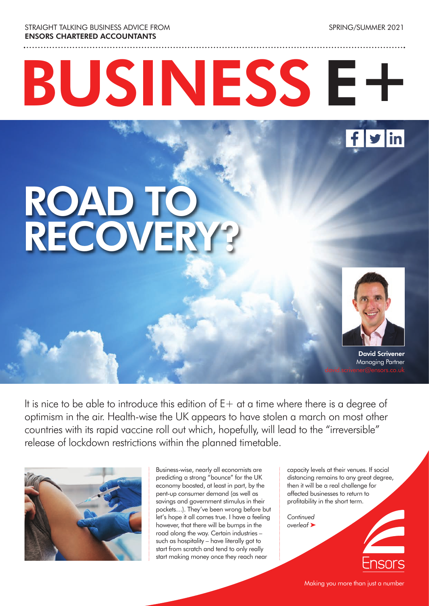STRAIGHT TALKING BUSINESS ADVICE FROM ENSORS CHARTERED ACCOUNTANTS

SPRING/SUMMER 2021

# BUSINESS E+



### ROAD TO RECOVERY?



David Scrivener Managing Partner

It is nice to be able to introduce this edition of  $E+$  at a time where there is a degree of optimism in the air. Health-wise the UK appears to have stolen a march on most other countries with its rapid vaccine roll out which, hopefully, will lead to the "irreversible" release of lockdown restrictions within the planned timetable.



Business-wise, nearly all economists are predicting a strong "bounce" for the UK economy boosted, at least in part, by the pent-up consumer demand (as well as savings and government stimulus in their pockets…). They've been wrong before but let's hope it all comes true. I have a feeling however, that there will be bumps in the road along the way. Certain industries – such as hospitality – have literally got to start from scratch and tend to only really start making money once they reach near

capacity levels at their venues. If social distancing remains to any great degree, then it will be a real challenge for affected businesses to return to profitability in the short term.

*Continued overleaf* ‰

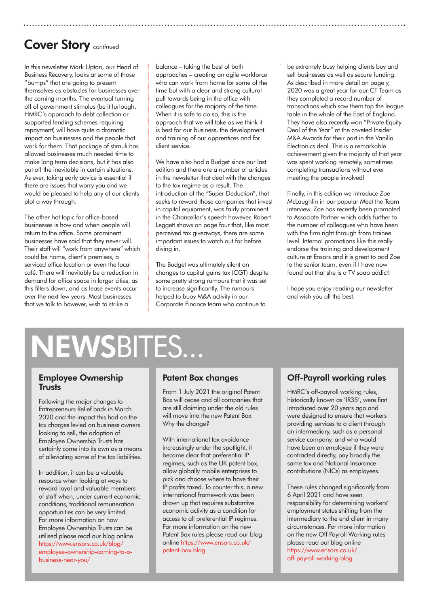### Cover Story *continued*

In this newsletter Mark Upton, our Head of Business Recovery, looks at some of those "bumps" that are going to present themselves as obstacles for businesses over the coming months. The eventual turning off of government stimulus (be it furlough, HMRC's approach to debt collection or supported lending schemes requiring repayment) will have quite a dramatic impact on businesses and the people that work for them. That package of stimuli has allowed businesses much needed time to make long term decisions, but it has also put off the inevitable in certain situations. As ever, taking early advice is essential if there are issues that worry you and we would be pleased to help any of our clients plot a way through.

The other hot topic for office-based businesses is how and when people will return to the office. Some prominent businesses have said that they never will. Their staff will "work from anywhere" which could be home, client's premises, a serviced office location or even the local café. There will inevitably be a reduction in demand for office space in larger cities, as this filters down, and as lease events occur over the next few years. Most businesses that we talk to however, wish to strike a

balance – taking the best of both approaches – creating an agile workforce who can work from home for some of the time but with a clear and strong cultural pull towards being in the office with colleagues for the majority of the time. When it is safe to do so, this is the approach that we will take as we think it is best for our business, the development and training of our apprentices and for client service.

We have also had a Budget since our last edition and there are a number of articles in the newsletter that deal with the changes to the tax regime as a result. The introduction of the "Super Deduction", that seeks to reward those companies that invest in capital equipment, was fairly prominent in the Chancellor's speech however, Robert Leggett shows on page four that, like most perceived tax giveaways, there are some important issues to watch out for before diving in.

The Budget was ultimately silent on changes to capital gains tax (CGT) despite some pretty strong rumours that it was set to increase significantly. The rumours helped to buoy M&A activity in our Corporate Finance team who continue to

be extremely busy helping clients buy and sell businesses as well as secure funding. As described in more detail on page y, 2020 was a great year for our CF Team as they completed a record number of transactions which saw them top the league table in the whole of the East of England. They have also recently won "Private Equity Deal of the Year" at the coveted Insider M&A Awards for their part in the Vanilla Electronics deal. This is a remarkable achievement given the majority of that year was spent working remotely, sometimes completing transactions without ever meeting the people involved!

Finally, in this edition we introduce Zoe McLaughlin in our popular Meet the Team interview. Zoe has recently been promoted to Associate Partner which adds further to the number of colleagues who have been with the firm right through from trainee level. Internal promotions like this really endorse the training and development culture at Ensors and it is great to add Zoe to the senior team, even if I have now found out that she is a TV soap addict!

I hope you enjoy reading our newsletter and wish you all the best.

### NEWSBITES...

#### Employee Ownership **Trusts**

Following the major changes to Entrepreneurs Relief back in March 2020 and the impact this had on the tax charges levied on business owners looking to sell, the adoption of Employee Ownership Trusts has certainly come into its own as a means of alleviating some of the tax liabilities.

In addition, it can be a valuable resource when looking at ways to reward loyal and valuable members of staff when, under current economic conditions, traditional remuneration opportunities can be very limited. For more information on how Employee Ownership Trusts can be utilised please read our blog online https://www.ensors.co.uk/blog/ employee-ownership-coming-to-abusiness-near-you/

### Patent Box changes

From 1 July 2021 the original Patent Box will cease and all companies that are still claiming under the old rules will move into the new Patent Box. Why the change?

With international tax avoidance increasingly under the spotlight, it became clear that preferential IP regimes, such as the UK patent box, allow globally mobile enterprises to pick and choose where to have their IP profits taxed. To counter this, a new international framework was been drawn up that requires substantive economic activity as a condition for access to all preferential IP regimes. For more information on the new Patent Box rules please read our blog online https://www.ensors.co.uk/ patent-box-blog

### Off-Payroll working rules

HMRC's off-payroll working rules, historically known as 'IR35', were first introduced over 20 years ago and were designed to ensure that workers providing services to a client through an intermediary, such as a personal service company, and who would have been an employee if they were contracted directly, pay broadly the same tax and National Insurance contributions (NICs) as employees.

These rules changed significantly from 6 April 2021 and have seen responsibility for determining workers' employment status shifting from the intermediary to the end client in many circumstances. For more information on the new Off Payroll Working rules please read out blog online https://www.ensors.co.uk/ off-payroll-working-blog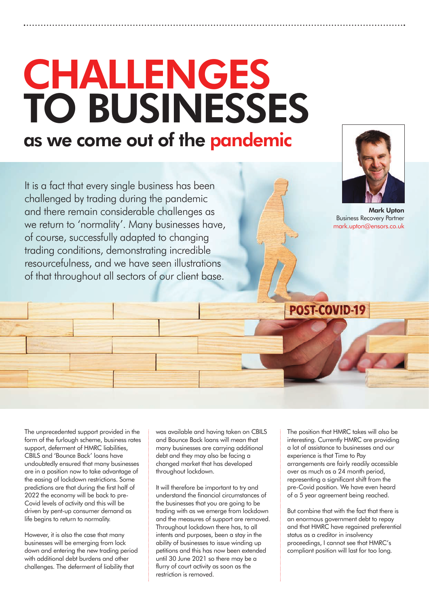### CHALLENGES TO BUSINESSES as we come out of the pandemic

It is a fact that every single business has been challenged by trading during the pandemic and there remain considerable challenges as we return to 'normality'. Many businesses have, of course, successfully adapted to changing trading conditions, demonstrating incredible resourcefulness, and we have seen illustrations of that throughout all sectors of our client base.



Mark Upton Business Recovery Partner mark.upton@ensors.co.uk

The unprecedented support provided in the form of the furlough scheme, business rates support, deferment of HMRC liabilities, CBILS and 'Bounce Back' loans have undoubtedly ensured that many businesses are in a position now to take advantage of the easing of lockdown restrictions. Some predictions are that during the first half of 2022 the economy will be back to pre-Covid levels of activity and this will be driven by pent-up consumer demand as life begins to return to normality.

However, it is also the case that many businesses will be emerging from lock down and entering the new trading period with additional debt burdens and other challenges. The deferment of liability that

was available and having taken on CBILS and Bounce Back loans will mean that many businesses are carrying additional debt and they may also be facing a changed market that has developed throughout lockdown.

It will therefore be important to try and understand the financial circumstances of the businesses that you are going to be trading with as we emerge from lockdown and the measures of support are removed. Throughout lockdown there has, to all intents and purposes, been a stay in the ability of businesses to issue winding up petitions and this has now been extended until 30 June 2021 so there may be a flurry of court activity as soon as the restriction is removed.

The position that HMRC takes will also be interesting. Currently HMRC are providing a lot of assistance to businesses and our experience is that Time to Pay arrangements are fairly readily accessible over as much as a 24 month period, representing a significant shift from the pre-Covid position. We have even heard of a 5 year agreement being reached.

POST-COVID-19

But combine that with the fact that there is an enormous government debt to repay and that HMRC have regained preferential status as a creditor in insolvency proceedings, I cannot see that HMRC's compliant position will last for too long.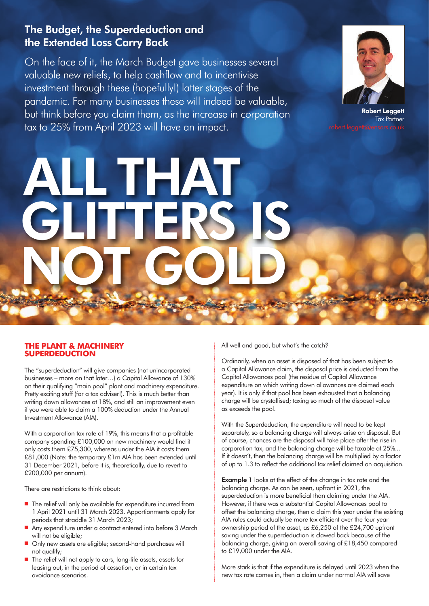### The Budget, the Superdeduction and the Extended Loss Carry Back

On the face of it, the March Budget gave businesses several valuable new reliefs, to help cashflow and to incentivise investment through these (hopefully!) latter stages of the pandemic. For many businesses these will indeed be valuable, but think before you claim them, as the increase in corporation tax to 25% from April 2023 will have an impact.

THAT

GLITTERS IS

NOT GOLD



Robert Leggett Tax Partner

**THE PLANT & MACHINERY SUPERDEDUCTION**

The "superdeduction" will give companies (not unincorporated businesses – more on that later…) a Capital Allowance of 130% on their qualifying "main pool" plant and machinery expenditure. Pretty exciting stuff (for a tax adviser!). This is much better than writing down allowances at 18%, and still an improvement even if you were able to claim a 100% deduction under the Annual Investment Allowance (AIA).

With a corporation tax rate of 19%, this means that a profitable company spending £100,000 on new machinery would find it only costs them £75,300, whereas under the AIA it costs them £81,000 (Note: the temporary £1m AIA has been extended until 31 December 2021, before it is, theoretically, due to revert to £200,000 per annum).

There are restrictions to think about:

- The relief will only be available for expenditure incurred from 1 April 2021 until 31 March 2023. Apportionments apply for periods that straddle 31 March 2023;
- Any expenditure under a contract entered into before 3 March will not be eligible;
- n Only new assets are eligible; second-hand purchases will not qualify;
- The relief will not apply to cars, long-life assets, assets for leasing out, in the period of cessation, or in certain tax avoidance scenarios.

All well and good, but what's the catch?

Ordinarily, when an asset is disposed of that has been subject to a Capital Allowance claim, the disposal price is deducted from the Capital Allowances pool (the residue of Capital Allowance expenditure on which writing down allowances are claimed each year). It is only if that pool has been exhausted that a balancing charge will be crystallised; taxing so much of the disposal value as exceeds the pool.

With the Superdeduction, the expenditure will need to be kept separately, so a balancing charge will always arise on disposal. But of course, chances are the disposal will take place after the rise in corporation tax, and the balancing charge will be taxable at 25%... If it doesn't, then the balancing charge will be multiplied by a factor of up to 1.3 to reflect the additional tax relief claimed on acquisition.

**Example 1** looks at the effect of the change in tax rate and the balancing charge. As can be seen, upfront in 2021, the superdeduction is more beneficial than claiming under the AIA. However, if there was a substantial Capital Allowances pool to offset the balancing charge, then a claim this year under the existing AIA rules could actually be more tax efficient over the four year ownership period of the asset, as £6,250 of the £24,700 upfront saving under the superdeduction is clawed back because of the balancing charge, giving an overall saving of £18,450 compared to £19,000 under the AIA.

More stark is that if the expenditure is delayed until 2023 when the new tax rate comes in, then a claim under normal AIA will save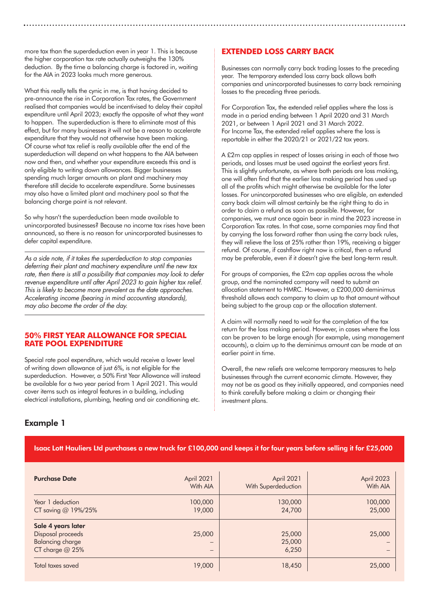more tax than the superdeduction even in year 1. This is because the higher corporation tax rate actually outweighs the 130% deduction. By the time a balancing charge is factored in, waiting for the AIA in 2023 looks much more generous.

What this really tells the cynic in me, is that having decided to pre-announce the rise in Corporation Tax rates, the Government realised that companies would be incentivised to delay their capital expenditure until April 2023; exactly the opposite of what they want to happen. The superdeduction is there to eliminate most of this effect, but for many businesses it will not be a reason to accelerate expenditure that they would not otherwise have been making. Of course what tax relief is really available after the end of the superdeduction will depend on what happens to the AIA between now and then, and whether your expenditure exceeds this and is only eligible to writing down allowances. Bigger businesses spending much larger amounts on plant and machinery may therefore still decide to accelerate expenditure. Some businesses may also have a limited plant and machinery pool so that the balancing charge point is not relevant.

So why hasn't the superdeduction been made available to unincorporated businesses? Because no income tax rises have been announced, so there is no reason for unincorporated businesses to defer capital expenditure.

As a side note, if it takes the superdeduction to stop companies deferring their plant and machinery expenditure until the new tax rate, then there is still a possibility that companies may look to defer revenue expenditure until after April 2023 to gain higher tax relief. This is likely to become more prevalent as the date approaches. Accelerating income (bearing in mind accounting standards), may also become the order of the day.

#### **50% FIRST YEAR ALLOWANCE FOR SPECIAL RATE POOL EXPENDITURE**

Special rate pool expenditure, which would receive a lower level of writing down allowance of just 6%, is not eligible for the superdeduction. However, a 50% First Year Allowance will instead be available for a two year period from 1 April 2021. This would cover items such as integral features in a building, including electrical installations, plumbing, heating and air conditioning etc.

### **EXTENDED LOSS CARRY BACK**

Businesses can normally carry back trading losses to the preceding year. The temporary extended loss carry back allows both companies and unincorporated businesses to carry back remaining losses to the preceding three periods.

For Corporation Tax, the extended relief applies where the loss is made in a period ending between 1 April 2020 and 31 March 2021, or between 1 April 2021 and 31 March 2022. For Income Tax, the extended relief applies where the loss is reportable in either the 2020/21 or 2021/22 tax years.

A £2m cap applies in respect of losses arising in each of those two periods, and losses must be used against the earliest years first. This is slightly unfortunate, as where both periods are loss making, one will often find that the earlier loss making period has used up all of the profits which might otherwise be available for the later losses. For unincorporated businesses who are eligible, an extended carry back claim will almost certainly be the right thing to do in order to claim a refund as soon as possible. However, for companies, we must once again bear in mind the 2023 increase in Corporation Tax rates. In that case, some companies may find that by carrying the loss forward rather than using the carry back rules, they will relieve the loss at 25% rather than 19%, receiving a bigger refund. Of course, if cashflow right now is critical, then a refund may be preferable, even if it doesn't give the best long-term result.

For groups of companies, the £2m cap applies across the whole group, and the nominated company will need to submit an allocation statement to HMRC. However, a £200,000 deminimus threshold allows each company to claim up to that amount without being subject to the group cap or the allocation statement.

A claim will normally need to wait for the completion of the tax return for the loss making period. However, in cases where the loss can be proven to be large enough (for example, using management accounts), a claim up to the deminimus amount can be made at an earlier point in time.

Overall, the new reliefs are welcome temporary measures to help businesses through the current economic climate. However, they may not be as good as they initially appeared, and companies need to think carefully before making a claim or changing their investment plans.

### Example 1

#### Isaac Lott Hauliers Ltd purchases a new truck for £100,000 and keeps it for four years before selling it for £25,000

| <b>Purchase Date</b>                                                             | April 2021                         | April 2021                | April 2023 |
|----------------------------------------------------------------------------------|------------------------------------|---------------------------|------------|
|                                                                                  | With AIA                           | With Superdeduction       | With AIA   |
| Year 1 deduction                                                                 | 100,000                            | 130,000                   | 100,000    |
| CT saving @ 19%/25%                                                              | 19,000                             | 24,700                    | 25,000     |
| Sale 4 years later<br>Disposal proceeds<br>Balancing charge<br>CT charge $@25\%$ | 25,000<br>$\overline{\phantom{0}}$ | 25,000<br>25,000<br>6,250 | 25,000     |
| Total taxes saved                                                                | 19,000                             | 18,450                    | 25,000     |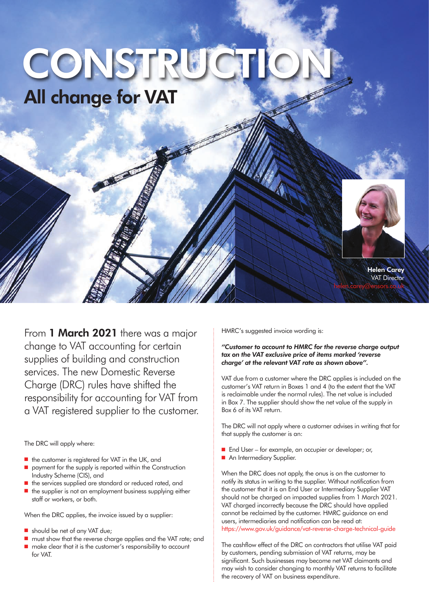### All change for VAT CONSTRUC



Helen Carey **VAT Director** helen.carey@ensors.co.uk

From 1 March 2021 there was a major change to VAT accounting for certain supplies of building and construction services. The new Domestic Reverse Charge (DRC) rules have shifted the responsibility for accounting for VAT from a VAT registered supplier to the customer.

The DRC will apply where:

- $\blacksquare$  the customer is registered for VAT in the UK, and
- n payment for the supply is reported within the Construction Industry Scheme (CIS), and
- $\blacksquare$  the services supplied are standard or reduced rated, and
- the supplier is not an employment business supplying either staff or workers, or both.

When the DRC applies, the invoice issued by a supplier:

- $\blacksquare$  should be net of any VAT due;
- must show that the reverse charge applies and the VAT rate; and n make clear that it is the customer's responsibility to account for VAT.

HMRC's suggested invoice wording is:

#### *"Customer to account to HMRC for the reverse charge output tax on the VAT exclusive price of items marked 'reverse charge' at the relevant VAT rate as shown above".*

VAT due from a customer where the DRC applies is included on the customer's VAT return in Boxes 1 and 4 (to the extent that the VAT is reclaimable under the normal rules). The net value is included in Box 7. The supplier should show the net value of the supply in Box 6 of its VAT return.

The DRC will not apply where a customer advises in writing that for that supply the customer is an:

- End User for example, an occupier or developer; or,
- An Intermediary Supplier.

When the DRC does not apply, the onus is on the customer to notify its status in writing to the supplier. Without notification from the customer that it is an End User or Intermediary Supplier VAT should not be charged on impacted supplies from 1 March 2021. VAT charged incorrectly because the DRC should have applied cannot be reclaimed by the customer. HMRC guidance on end users, intermediaries and notification can be read at: https://www.gov.uk/guidance/vat-reverse-charge-technical-guide

The cashflow effect of the DRC on contractors that utilise VAT paid by customers, pending submission of VAT returns, may be significant. Such businesses may become net VAT claimants and may wish to consider changing to monthly VAT returns to facilitate the recovery of VAT on business expenditure.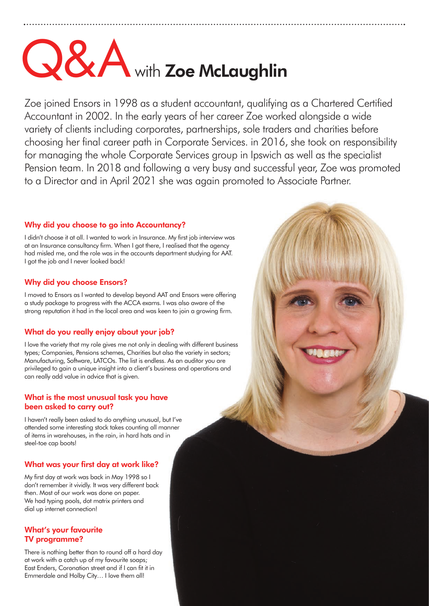## **Q&A** with Zoe McLaughlin

Zoe joined Ensors in 1998 as a student accountant, qualifying as a Chartered Certified Accountant in 2002. In the early years of her career Zoe worked alongside a wide variety of clients including corporates, partnerships, sole traders and charities before choosing her final career path in Corporate Services. in 2016, she took on responsibility for managing the whole Corporate Services group in Ipswich as well as the specialist Pension team. In 2018 and following a very busy and successful year, Zoe was promoted to a Director and in April 2021 she was again promoted to Associate Partner.

### Why did you choose to go into Accountancy?

I didn't choose it at all. I wanted to work in Insurance. My first job interview was at an Insurance consultancy firm. When I got there, I realised that the agency had misled me, and the role was in the accounts department studying for AAT. I got the job and I never looked back!

### Why did you choose Ensors?

I moved to Ensors as I wanted to develop beyond AAT and Ensors were offering a study package to progress with the ACCA exams. I was also aware of the strong reputation it had in the local area and was keen to join a growing firm.

### What do you really enjoy about your job?

I love the variety that my role gives me not only in dealing with different business types; Companies, Pensions schemes, Charities but also the variety in sectors; Manufacturing, Software, LATCOs. The list is endless. As an auditor you are privileged to gain a unique insight into a client's business and operations and can really add value in advice that is given.

#### What is the most unusual task you have been asked to carry out?

I haven't really been asked to do anything unusual, but I've attended some interesting stock takes counting all manner of items in warehouses, in the rain, in hard hats and in steel-toe cap boots!

### What was your first day at work like?

My first day at work was back in May 1998 so I don't remember it vividly. It was very different back then. Most of our work was done on paper. We had typing pools, dot matrix printers and dial up internet connection!

### What's your favourite TV programme?

There is nothing better than to round off a hard day at work with a catch up of my favourite soaps; East Enders, Coronation street and if I can fit it in Emmerdale and Holby City… I love them all!